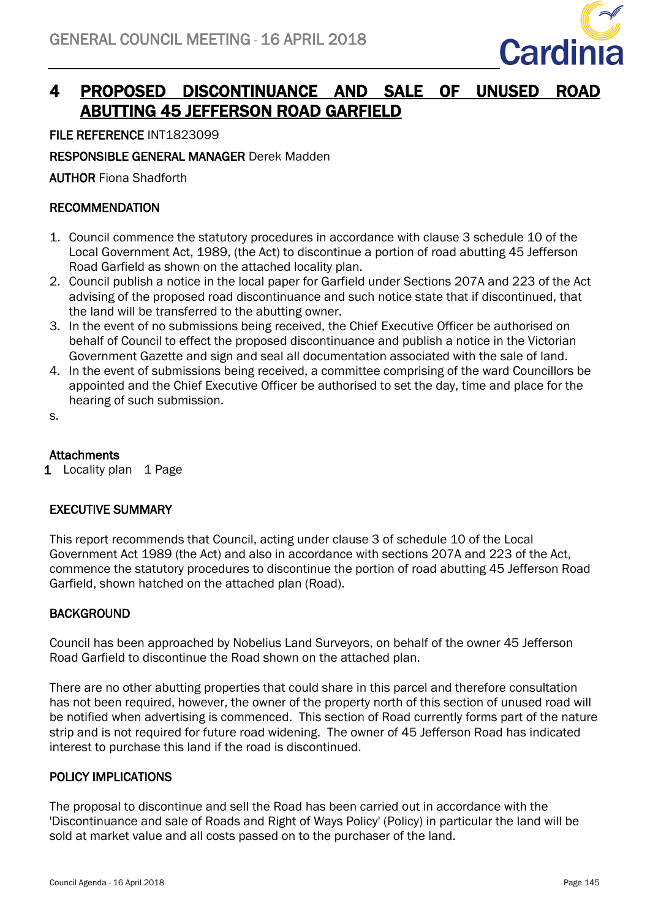

# 4 PROPOSED DISCONTINUANCE AND SALE OF UNUSED ROAD ABUTTING 45 JEFFERSON ROAD GARFIELD

FILE REFERENCE INT1823099

# RESPONSIBLE GENERAL MANAGER Derek Madden

AUTHOR Fiona Shadforth

## RECOMMENDATION

- 1. Council commence the statutory procedures in accordance with clause 3 schedule 10 of the Local Government Act, 1989, (the Act) to discontinue a portion of road abutting 45 Jefferson Road Garfield as shown on the attached locality plan.
- 2. Council publish a notice in the local paper for Garfield under Sections 207A and 223 of the Act advising of the proposed road discontinuance and such notice state that if discontinued, that the land will be transferred to the abutting owner.
- 3. In the event of no submissions being received, the Chief Executive Officer be authorised on behalf of Council to effect the proposed discontinuance and publish a notice in the Victorian Government Gazette and sign and seal all documentation associated with the sale of land.
- 4. In the event of submissions being received, a committee comprising of the ward Councillors be appointed and the Chief Executive Officer be authorised to set the day, time and place for the hearing of such submission.
- s.

## **Attachments**

1 Locality plan 1 Page

## EXECUTIVE SUMMARY

This report recommends that Council, acting under clause 3 of schedule 10 of the Local Government Act 1989 (the Act) and also in accordance with sections 207A and 223 of the Act, commence the statutory procedures to discontinue the portion of road abutting 45 Jefferson Road Garfield, shown hatched on the attached plan (Road).

## BACKGROUND

Council has been approached by Nobelius Land Surveyors, on behalf of the owner 45 Jefferson Road Garfield to discontinue the Road shown on the attached plan.

There are no other abutting properties that could share in this parcel and therefore consultation has not been required, however, the owner of the property north of this section of unused road will be notified when advertising is commenced. This section of Road currently forms part of the nature strip and is not required for future road widening. The owner of 45 Jefferson Road has indicated interest to purchase this land if the road is discontinued.

#### POLICY IMPLICATIONS

The proposal to discontinue and sell the Road has been carried out in accordance with the 'Discontinuance and sale of Roads and Right of Ways Policy' (Policy) in particular the land will be sold at market value and all costs passed on to the purchaser of the land.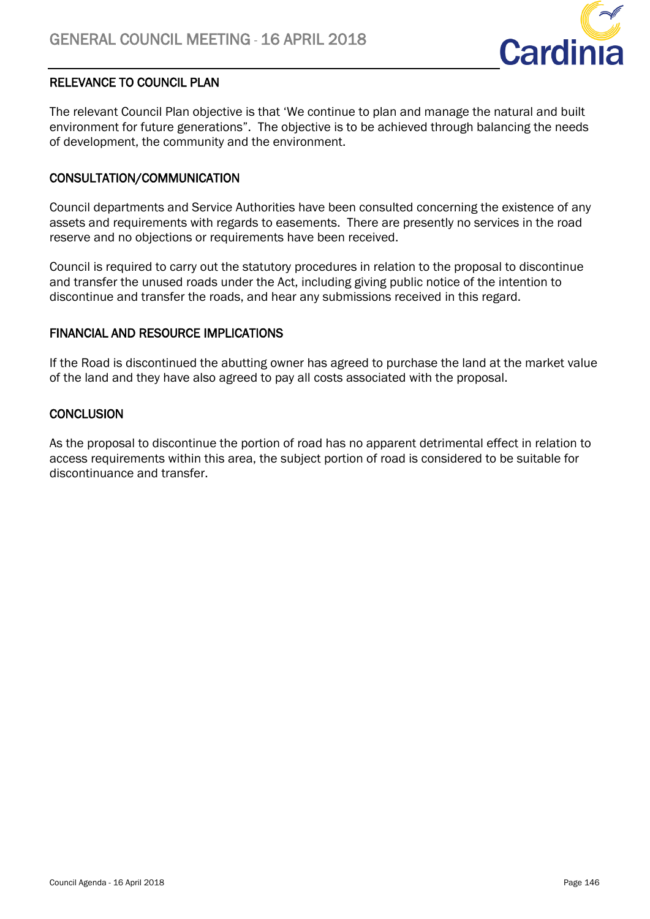

# RELEVANCE TO COUNCIL PLAN

The relevant Council Plan objective is that 'We continue to plan and manage the natural and built environment for future generations". The objective is to be achieved through balancing the needs of development, the community and the environment.

## CONSULTATION/COMMUNICATION

Council departments and Service Authorities have been consulted concerning the existence of any assets and requirements with regards to easements. There are presently no services in the road reserve and no objections or requirements have been received.

Council is required to carry out the statutory procedures in relation to the proposal to discontinue and transfer the unused roads under the Act, including giving public notice of the intention to discontinue and transfer the roads, and hear any submissions received in this regard.

## FINANCIAL AND RESOURCE IMPLICATIONS

If the Road is discontinued the abutting owner has agreed to purchase the land at the market value of the land and they have also agreed to pay all costs associated with the proposal.

## **CONCLUSION**

As the proposal to discontinue the portion of road has no apparent detrimental effect in relation to access requirements within this area, the subject portion of road is considered to be suitable for discontinuance and transfer.